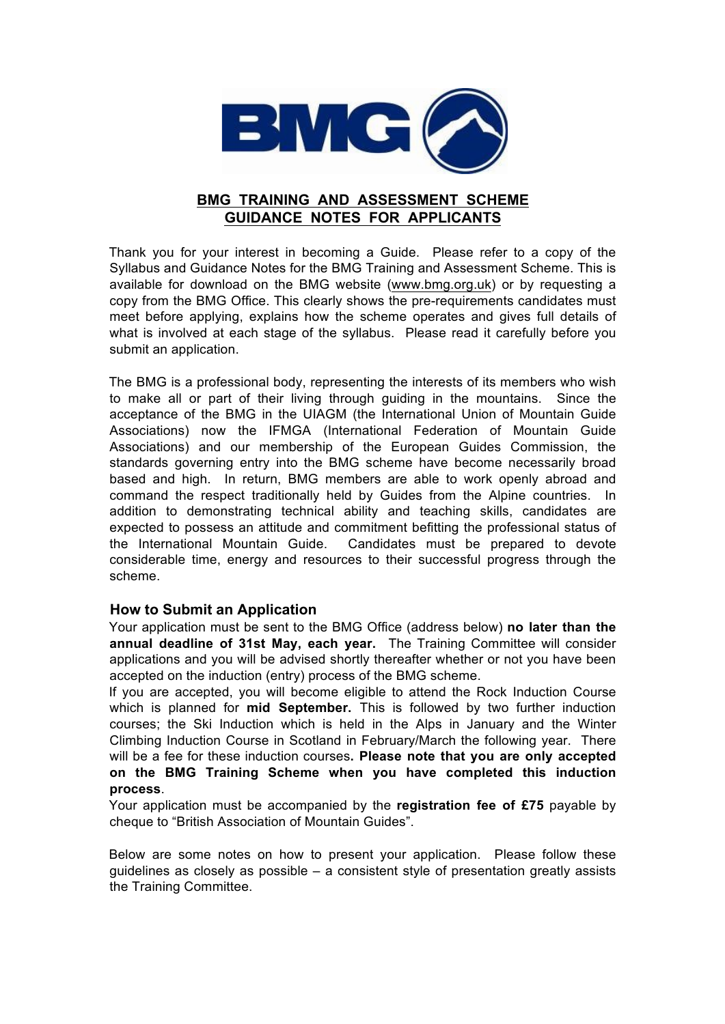

# **BMG TRAINING AND ASSESSMENT SCHEME GUIDANCE NOTES FOR APPLICANTS**

Thank you for your interest in becoming a Guide. Please refer to a copy of the Syllabus and Guidance Notes for the BMG Training and Assessment Scheme. This is available for download on the BMG website (www.bmg.org.uk) or by requesting a copy from the BMG Office. This clearly shows the pre-requirements candidates must meet before applying, explains how the scheme operates and gives full details of what is involved at each stage of the syllabus. Please read it carefully before you submit an application.

The BMG is a professional body, representing the interests of its members who wish to make all or part of their living through guiding in the mountains. Since the acceptance of the BMG in the UIAGM (the International Union of Mountain Guide Associations) now the IFMGA (International Federation of Mountain Guide Associations) and our membership of the European Guides Commission, the standards governing entry into the BMG scheme have become necessarily broad based and high. In return, BMG members are able to work openly abroad and command the respect traditionally held by Guides from the Alpine countries. In addition to demonstrating technical ability and teaching skills, candidates are expected to possess an attitude and commitment befitting the professional status of the International Mountain Guide. Candidates must be prepared to devote considerable time, energy and resources to their successful progress through the scheme.

# **How to Submit an Application**

Your application must be sent to the BMG Office (address below) **no later than the annual deadline of 31st May, each year.** The Training Committee will consider applications and you will be advised shortly thereafter whether or not you have been accepted on the induction (entry) process of the BMG scheme.

If you are accepted, you will become eligible to attend the Rock Induction Course which is planned for **mid September.** This is followed by two further induction courses; the Ski Induction which is held in the Alps in January and the Winter Climbing Induction Course in Scotland in February/March the following year. There will be a fee for these induction courses**. Please note that you are only accepted on the BMG Training Scheme when you have completed this induction process**.

Your application must be accompanied by the **registration fee of £75** payable by cheque to "British Association of Mountain Guides".

Below are some notes on how to present your application. Please follow these guidelines as closely as possible – a consistent style of presentation greatly assists the Training Committee.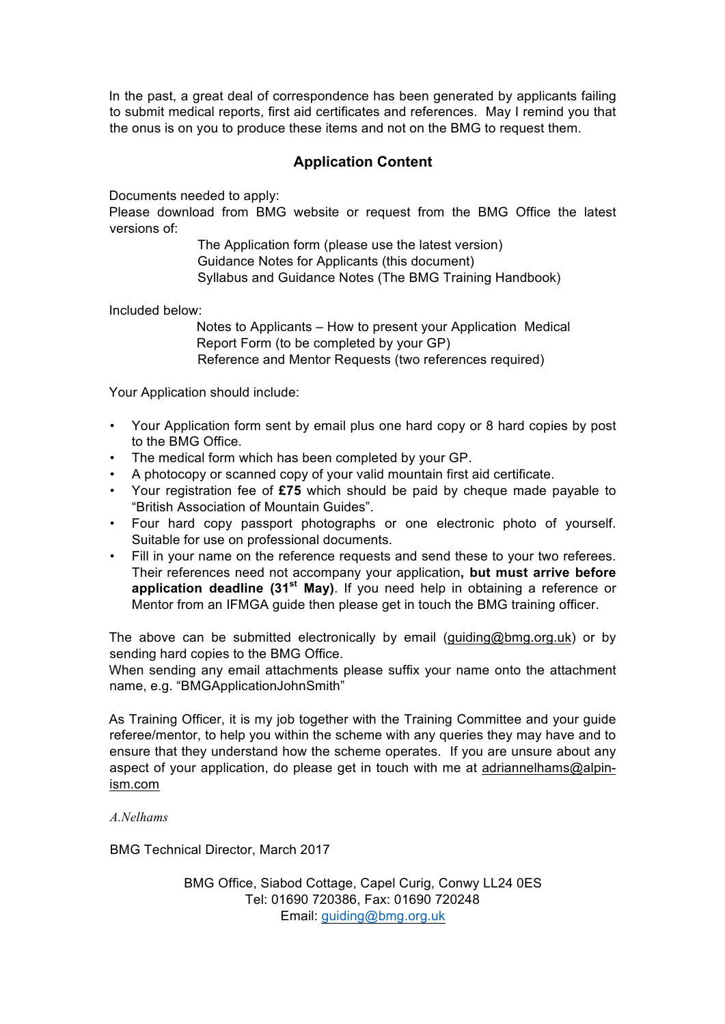In the past, a great deal of correspondence has been generated by applicants failing to submit medical reports, first aid certificates and references. May I remind you that the onus is on you to produce these items and not on the BMG to request them.

# **Application Content**

Documents needed to apply:

Please download from BMG website or request from the BMG Office the latest versions of:

> The Application form (please use the latest version) Guidance Notes for Applicants (this document) Syllabus and Guidance Notes (The BMG Training Handbook)

Included below:

Notes to Applicants – How to present your Application Medical Report Form (to be completed by your GP) Reference and Mentor Requests (two references required)

Your Application should include:

- Your Application form sent by email plus one hard copy or 8 hard copies by post to the BMG Office.
- The medical form which has been completed by your GP.
- A photocopy or scanned copy of your valid mountain first aid certificate.
- Your registration fee of **£75** which should be paid by cheque made payable to "British Association of Mountain Guides".
- Four hard copy passport photographs or one electronic photo of yourself. Suitable for use on professional documents.
- Fill in your name on the reference requests and send these to your two referees. Their references need not accompany your application**, but must arrive before application deadline (31st May)**. If you need help in obtaining a reference or Mentor from an IFMGA guide then please get in touch the BMG training officer.

The above can be submitted electronically by email (guiding@bmg.org.uk) or by sending hard copies to the BMG Office.

When sending any email attachments please suffix your name onto the attachment name, e.g. "BMGApplicationJohnSmith"

As Training Officer, it is my job together with the Training Committee and your guide referee/mentor, to help you within the scheme with any queries they may have and to ensure that they understand how the scheme operates. If you are unsure about any aspect of your application, do please get in touch with me at adriannelhams@alpinism.com

*A.Nelhams*

BMG Technical Director, March 2017

BMG Office, Siabod Cottage, Capel Curig, Conwy LL24 0ES Tel: 01690 720386, Fax: 01690 720248 Email: guiding@bmg.org.uk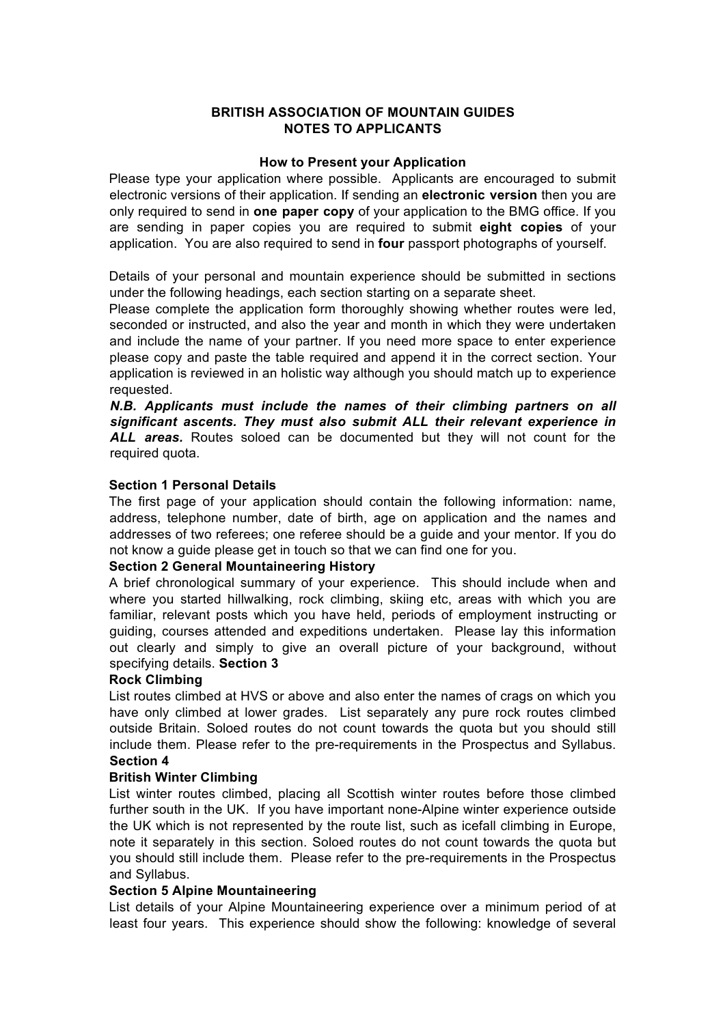### **BRITISH ASSOCIATION OF MOUNTAIN GUIDES NOTES TO APPLICANTS**

### **How to Present your Application**

Please type your application where possible. Applicants are encouraged to submit electronic versions of their application. If sending an **electronic version** then you are only required to send in **one paper copy** of your application to the BMG office. If you are sending in paper copies you are required to submit **eight copies** of your application. You are also required to send in **four** passport photographs of yourself.

Details of your personal and mountain experience should be submitted in sections under the following headings, each section starting on a separate sheet.

Please complete the application form thoroughly showing whether routes were led, seconded or instructed, and also the year and month in which they were undertaken and include the name of your partner. If you need more space to enter experience please copy and paste the table required and append it in the correct section. Your application is reviewed in an holistic way although you should match up to experience requested.

*N.B. Applicants must include the names of their climbing partners on all significant ascents. They must also submit ALL their relevant experience in ALL areas.* Routes soloed can be documented but they will not count for the required quota.

### **Section 1 Personal Details**

The first page of your application should contain the following information: name, address, telephone number, date of birth, age on application and the names and addresses of two referees; one referee should be a guide and your mentor. If you do not know a guide please get in touch so that we can find one for you.

# **Section 2 General Mountaineering History**

A brief chronological summary of your experience. This should include when and where you started hillwalking, rock climbing, skiing etc, areas with which you are familiar, relevant posts which you have held, periods of employment instructing or guiding, courses attended and expeditions undertaken. Please lay this information out clearly and simply to give an overall picture of your background, without specifying details. **Section 3** 

#### **Rock Climbing**

List routes climbed at HVS or above and also enter the names of crags on which you have only climbed at lower grades. List separately any pure rock routes climbed outside Britain. Soloed routes do not count towards the quota but you should still include them. Please refer to the pre-requirements in the Prospectus and Syllabus. **Section 4** 

# **British Winter Climbing**

List winter routes climbed, placing all Scottish winter routes before those climbed further south in the UK. If you have important none-Alpine winter experience outside the UK which is not represented by the route list, such as icefall climbing in Europe, note it separately in this section. Soloed routes do not count towards the quota but you should still include them. Please refer to the pre-requirements in the Prospectus and Syllabus.

#### **Section 5 Alpine Mountaineering**

List details of your Alpine Mountaineering experience over a minimum period of at least four years. This experience should show the following: knowledge of several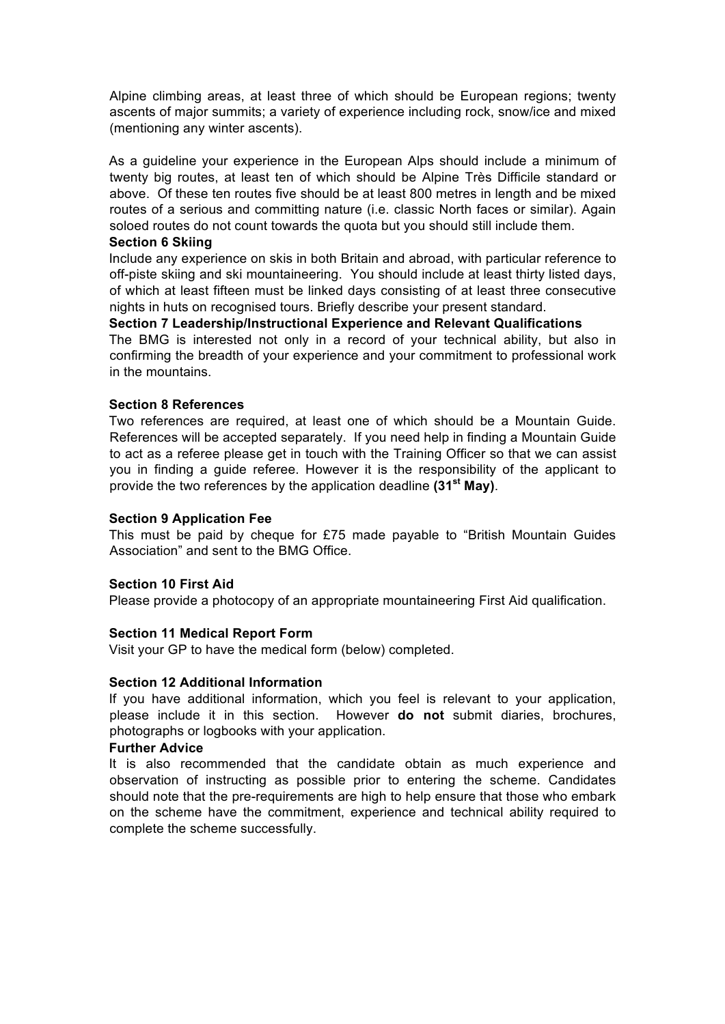Alpine climbing areas, at least three of which should be European regions; twenty ascents of major summits; a variety of experience including rock, snow/ice and mixed (mentioning any winter ascents).

As a guideline your experience in the European Alps should include a minimum of twenty big routes, at least ten of which should be Alpine Très Difficile standard or above. Of these ten routes five should be at least 800 metres in length and be mixed routes of a serious and committing nature (i.e. classic North faces or similar). Again soloed routes do not count towards the quota but you should still include them.

#### **Section 6 Skiing**

Include any experience on skis in both Britain and abroad, with particular reference to off-piste skiing and ski mountaineering. You should include at least thirty listed days, of which at least fifteen must be linked days consisting of at least three consecutive nights in huts on recognised tours. Briefly describe your present standard.

**Section 7 Leadership/Instructional Experience and Relevant Qualifications**  The BMG is interested not only in a record of your technical ability, but also in confirming the breadth of your experience and your commitment to professional work in the mountains.

# **Section 8 References**

Two references are required, at least one of which should be a Mountain Guide. References will be accepted separately. If you need help in finding a Mountain Guide to act as a referee please get in touch with the Training Officer so that we can assist you in finding a guide referee. However it is the responsibility of the applicant to provide the two references by the application deadline **(31st May)**.

# **Section 9 Application Fee**

This must be paid by cheque for £75 made payable to "British Mountain Guides Association" and sent to the BMG Office.

# **Section 10 First Aid**

Please provide a photocopy of an appropriate mountaineering First Aid qualification.

# **Section 11 Medical Report Form**

Visit your GP to have the medical form (below) completed.

#### **Section 12 Additional Information**

If you have additional information, which you feel is relevant to your application, please include it in this section. However **do not** submit diaries, brochures, photographs or logbooks with your application.

#### **Further Advice**

It is also recommended that the candidate obtain as much experience and observation of instructing as possible prior to entering the scheme. Candidates should note that the pre-requirements are high to help ensure that those who embark on the scheme have the commitment, experience and technical ability required to complete the scheme successfully.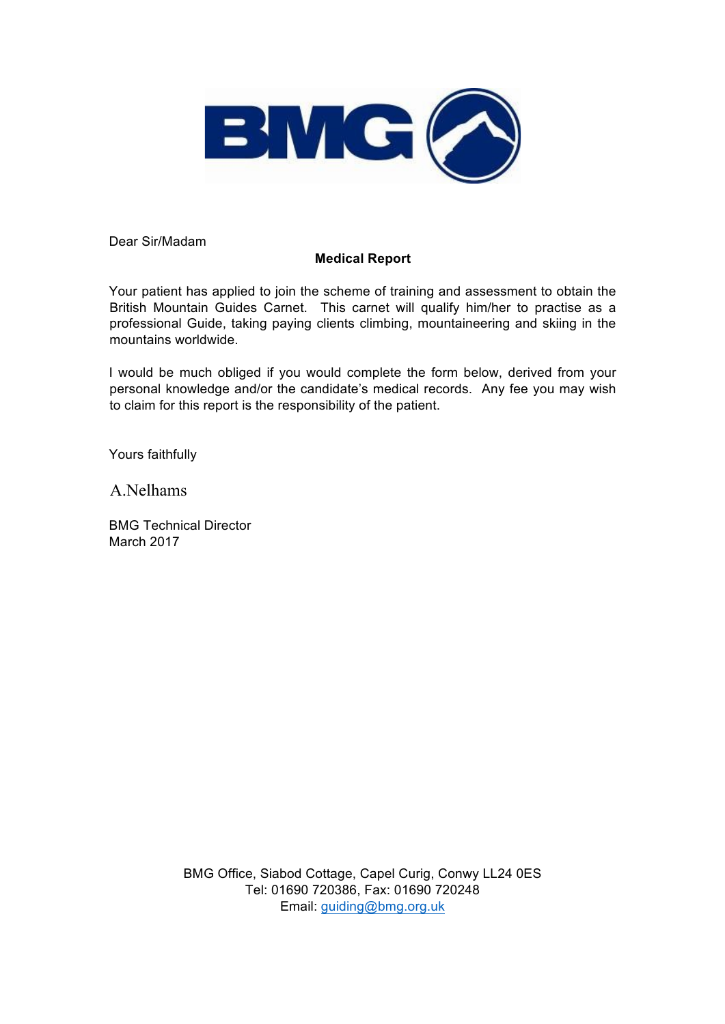

Dear Sir/Madam

# **Medical Report**

Your patient has applied to join the scheme of training and assessment to obtain the British Mountain Guides Carnet. This carnet will qualify him/her to practise as a professional Guide, taking paying clients climbing, mountaineering and skiing in the mountains worldwide.

I would be much obliged if you would complete the form below, derived from your personal knowledge and/or the candidate's medical records. Any fee you may wish to claim for this report is the responsibility of the patient.

Yours faithfully

A.Nelhams

BMG Technical Director March 2017

> BMG Office, Siabod Cottage, Capel Curig, Conwy LL24 0ES Tel: 01690 720386, Fax: 01690 720248 Email: guiding@bmg.org.uk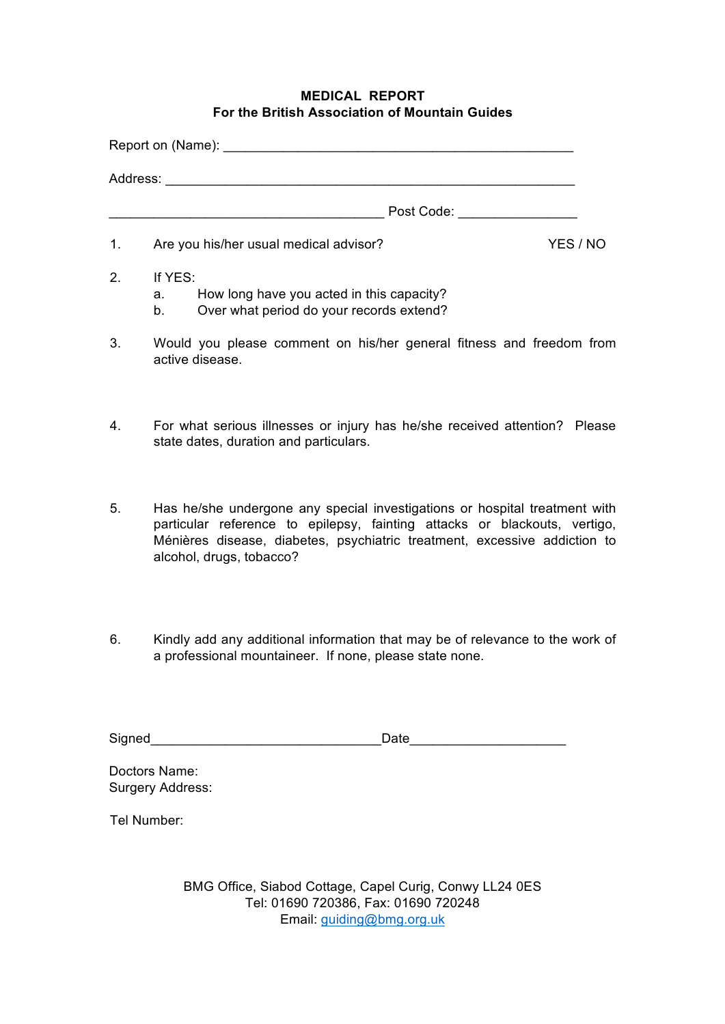# **MEDICAL REPORT For the British Association of Mountain Guides**

| Report on (Name): ________________ |                       |                                                                                         |  |
|------------------------------------|-----------------------|-----------------------------------------------------------------------------------------|--|
|                                    |                       |                                                                                         |  |
|                                    |                       | Post Code: The Contract of the Code:                                                    |  |
| 1.                                 |                       | YES / NO<br>Are you his/her usual medical advisor?                                      |  |
| 2 <sub>1</sub>                     | If YES:<br>а. –<br>b. | How long have you acted in this capacity?<br>Over what period do your records extend?   |  |
| 3.                                 |                       | Would you please comment on his/her general fitness and freedom from<br>active disease. |  |

- 4. For what serious illnesses or injury has he/she received attention? Please state dates, duration and particulars.
- 5. Has he/she undergone any special investigations or hospital treatment with particular reference to epilepsy, fainting attacks or blackouts, vertigo, Ménières disease, diabetes, psychiatric treatment, excessive addiction to alcohol, drugs, tobacco?
- 6. Kindly add any additional information that may be of relevance to the work of a professional mountaineer. If none, please state none.

| Signed | Date |
|--------|------|
|        |      |

Doctors Name: Surgery Address:

Tel Number:

BMG Office, Siabod Cottage, Capel Curig, Conwy LL24 0ES Tel: 01690 720386, Fax: 01690 720248 Email: guiding@bmg.org.uk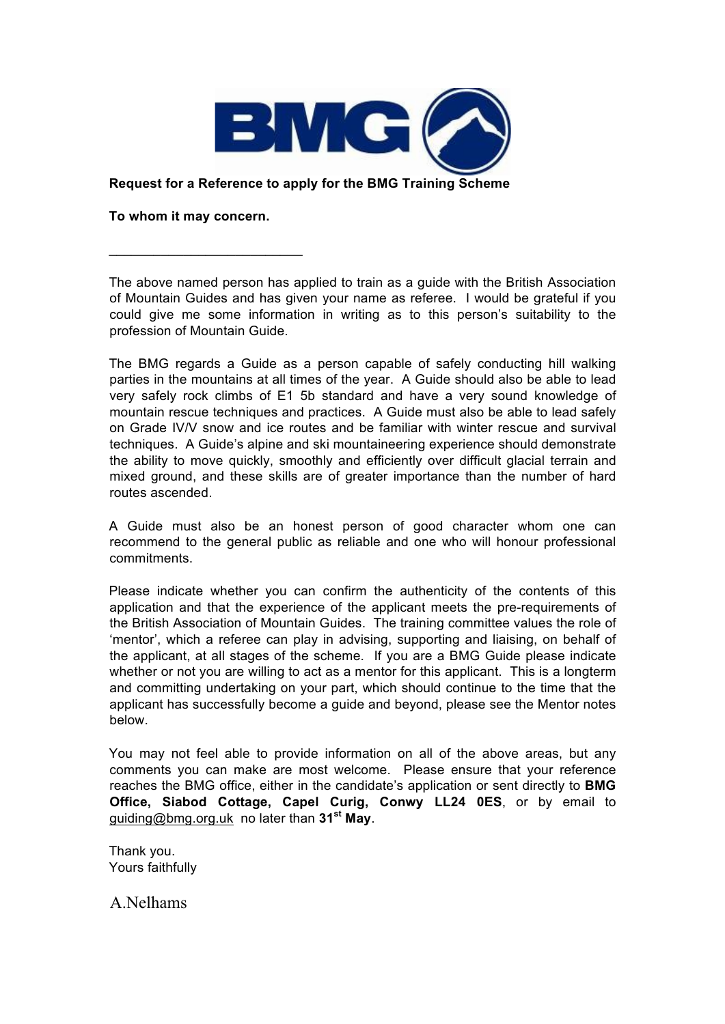

**Request for a Reference to apply for the BMG Training Scheme** 

**To whom it may concern.** 

\_\_\_\_\_\_\_\_\_\_\_\_\_\_\_\_\_\_\_\_\_\_\_\_\_\_

The above named person has applied to train as a guide with the British Association of Mountain Guides and has given your name as referee. I would be grateful if you could give me some information in writing as to this person's suitability to the profession of Mountain Guide.

The BMG regards a Guide as a person capable of safely conducting hill walking parties in the mountains at all times of the year. A Guide should also be able to lead very safely rock climbs of E1 5b standard and have a very sound knowledge of mountain rescue techniques and practices. A Guide must also be able to lead safely on Grade IV/V snow and ice routes and be familiar with winter rescue and survival techniques. A Guide's alpine and ski mountaineering experience should demonstrate the ability to move quickly, smoothly and efficiently over difficult glacial terrain and mixed ground, and these skills are of greater importance than the number of hard routes ascended.

A Guide must also be an honest person of good character whom one can recommend to the general public as reliable and one who will honour professional commitments.

Please indicate whether you can confirm the authenticity of the contents of this application and that the experience of the applicant meets the pre-requirements of the British Association of Mountain Guides. The training committee values the role of 'mentor', which a referee can play in advising, supporting and liaising, on behalf of the applicant, at all stages of the scheme. If you are a BMG Guide please indicate whether or not you are willing to act as a mentor for this applicant. This is a longterm and committing undertaking on your part, which should continue to the time that the applicant has successfully become a guide and beyond, please see the Mentor notes below.

You may not feel able to provide information on all of the above areas, but any comments you can make are most welcome. Please ensure that your reference reaches the BMG office, either in the candidate's application or sent directly to **BMG Office, Siabod Cottage, Capel Curig, Conwy LL24 0ES**, or by email to guiding@bmg.org.uk no later than **31st May**.

Thank you. Yours faithfully

A.Nelhams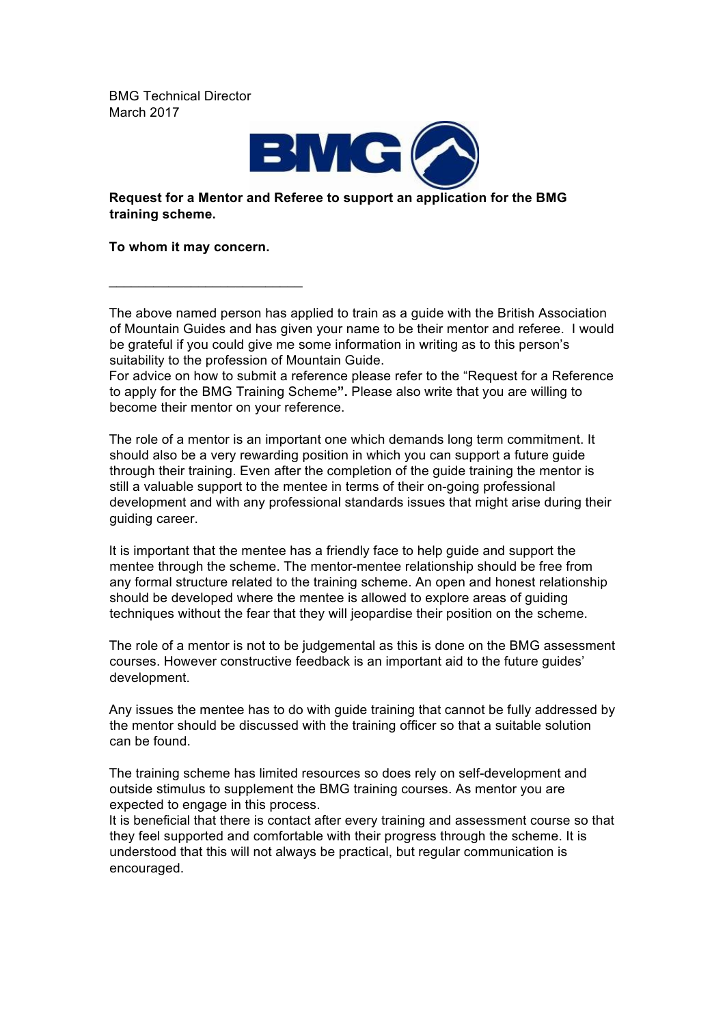BMG Technical Director March 2017



**Request for a Mentor and Referee to support an application for the BMG training scheme.** 

**To whom it may concern.** 

\_\_\_\_\_\_\_\_\_\_\_\_\_\_\_\_\_\_\_\_\_\_\_\_\_\_

The above named person has applied to train as a guide with the British Association of Mountain Guides and has given your name to be their mentor and referee. I would be grateful if you could give me some information in writing as to this person's suitability to the profession of Mountain Guide.

For advice on how to submit a reference please refer to the "Request for a Reference to apply for the BMG Training Scheme**".** Please also write that you are willing to become their mentor on your reference.

The role of a mentor is an important one which demands long term commitment. It should also be a very rewarding position in which you can support a future guide through their training. Even after the completion of the guide training the mentor is still a valuable support to the mentee in terms of their on-going professional development and with any professional standards issues that might arise during their guiding career.

It is important that the mentee has a friendly face to help guide and support the mentee through the scheme. The mentor-mentee relationship should be free from any formal structure related to the training scheme. An open and honest relationship should be developed where the mentee is allowed to explore areas of guiding techniques without the fear that they will jeopardise their position on the scheme.

The role of a mentor is not to be judgemental as this is done on the BMG assessment courses. However constructive feedback is an important aid to the future guides' development.

Any issues the mentee has to do with guide training that cannot be fully addressed by the mentor should be discussed with the training officer so that a suitable solution can be found.

The training scheme has limited resources so does rely on self-development and outside stimulus to supplement the BMG training courses. As mentor you are expected to engage in this process.

It is beneficial that there is contact after every training and assessment course so that they feel supported and comfortable with their progress through the scheme. It is understood that this will not always be practical, but regular communication is encouraged.